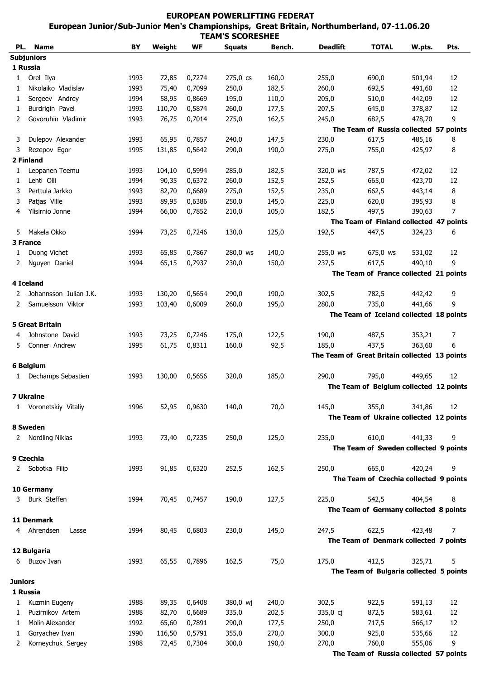## **EUROPEAN POWERLIFTING FEDERAT European Junior/Sub-Junior Men's Championships, Great Britain, Northumberland, 07-11.06.2011 TEAM'S SCORESHEE**

| PL.            | <b>Name</b>            | BY   | Weight | WF     | <b>Squats</b> | Bench. | <b>Deadlift</b> | <b>TOTAL</b>                                  | W.pts. | Pts. |
|----------------|------------------------|------|--------|--------|---------------|--------|-----------------|-----------------------------------------------|--------|------|
|                | <b>Subjuniors</b>      |      |        |        |               |        |                 |                                               |        |      |
|                | 1 Russia               |      |        |        |               |        |                 |                                               |        |      |
| 1              | Orel Ilya              | 1993 | 72,85  | 0,7274 | 275,0 cs      | 160,0  | 255,0           | 690,0                                         | 501,94 | 12   |
| 1              | Nikolaiko Vladislav    | 1993 | 75,40  | 0,7099 | 250,0         | 182,5  | 260,0           | 692,5                                         | 491,60 | 12   |
| 1              | Sergeev Andrey         | 1994 | 58,95  | 0,8669 | 195,0         | 110,0  | 205,0           | 510,0                                         | 442,09 | 12   |
| 1              | Burdrigin Pavel        | 1993 | 110,70 | 0,5874 | 260,0         | 177,5  | 207,5           | 645,0                                         | 378,87 | 12   |
| 2              | Govoruhin Vladimir     | 1993 | 76,75  | 0,7014 | 275,0         | 162,5  | 245,0           | 682,5                                         | 478,70 | 9    |
|                |                        |      |        |        |               |        |                 | The Team of Russia collected 57 points        |        |      |
| 3              | Dulepov Alexander      | 1993 | 65,95  | 0,7857 | 240,0         | 147,5  | 230,0           | 617,5                                         | 485,16 | 8    |
| 3              | Rezepov Egor           | 1995 | 131,85 | 0,5642 | 290,0         | 190,0  | 275,0           | 755,0                                         | 425,97 | 8    |
|                | 2 Finland              |      |        |        |               |        |                 |                                               |        |      |
| 1              | Leppanen Teemu         | 1993 | 104,10 | 0,5994 | 285,0         | 182,5  | 320,0 ws        | 787,5                                         | 472,02 | 12   |
| 1              | Lehti Olli             | 1994 | 90,35  | 0,6372 | 260,0         | 152,5  | 252,5           | 665,0                                         | 423,70 | 12   |
| 3              | Perttula Jarkko        | 1993 | 82,70  | 0,6689 | 275,0         | 152,5  | 235,0           | 662,5                                         | 443,14 | 8    |
|                |                        |      |        |        |               |        |                 |                                               |        |      |
| 3              | Patjas Ville           | 1993 | 89,95  | 0,6386 | 250,0         | 145,0  | 225,0           | 620,0                                         | 395,93 | 8    |
| 4              | Ylisirnio Jonne        | 1994 | 66,00  | 0,7852 | 210,0         | 105,0  | 182,5           | 497,5                                         | 390,63 | 7    |
|                |                        |      |        |        |               |        |                 | The Team of Finland collected 47 points       |        |      |
| 5              | Makela Okko            | 1994 | 73,25  | 0,7246 | 130,0         | 125,0  | 192,5           | 447,5                                         | 324,23 | 6    |
|                | 3 France               |      |        |        |               |        |                 |                                               |        |      |
| 1              | Duong Vichet           | 1993 | 65,85  | 0,7867 | 280,0 ws      | 140,0  | 255,0 ws        | 675,0 ws                                      | 531,02 | 12   |
| 2              | Nguyen Daniel          | 1994 | 65,15  | 0,7937 | 230,0         | 150,0  | 237,5           | 617,5                                         | 490,10 | 9    |
|                |                        |      |        |        |               |        |                 | The Team of France collected 21 points        |        |      |
|                | 4 Iceland              |      |        |        |               |        |                 |                                               |        |      |
| 2              | Johannsson Julian J.K. | 1993 | 130,20 | 0,5654 | 290,0         | 190,0  | 302,5           | 782,5                                         | 442,42 | 9    |
| 2              | Samuelsson Viktor      | 1993 | 103,40 | 0,6009 | 260,0         | 195,0  | 280,0           | 735,0                                         | 441,66 | 9    |
|                |                        |      |        |        |               |        |                 | The Team of Iceland collected 18 points       |        |      |
|                | <b>5 Great Britain</b> |      |        |        |               |        |                 |                                               |        |      |
| 4              | Johnstone David        | 1993 | 73,25  | 0,7246 | 175,0         | 122,5  | 190,0           | 487,5                                         | 353,21 | 7    |
| 5.             | Conner Andrew          | 1995 | 61,75  | 0,8311 | 160,0         | 92,5   | 185,0           | 437,5                                         | 363,60 | 6    |
|                |                        |      |        |        |               |        |                 | The Team of Great Britain collected 13 points |        |      |
|                | 6 Belgium              |      |        |        |               |        |                 |                                               |        |      |
|                |                        |      |        |        |               |        |                 |                                               |        |      |
| $\mathbf{1}$   | Dechamps Sebastien     | 1993 | 130,00 | 0,5656 | 320,0         | 185,0  | 290,0           | 795,0                                         | 449,65 | 12   |
|                |                        |      |        |        |               |        |                 | The Team of Belgium collected 12 points       |        |      |
|                | <b>7 Ukraine</b>       |      |        |        |               |        |                 |                                               |        |      |
|                | 1 Voronetskiy Vitaliy  | 1996 | 52,95  | 0,9630 | 140,0         | 70,0   | 145,0           | 355,0                                         | 341,86 | 12   |
|                |                        |      |        |        |               |        |                 | The Team of Ukraine collected 12 points       |        |      |
|                | 8 Sweden               |      |        |        |               |        |                 |                                               |        |      |
|                | 2 Nordling Niklas      | 1993 | 73,40  | 0,7235 | 250,0         | 125,0  | 235,0           | 610,0                                         | 441,33 | 9    |
|                |                        |      |        |        |               |        |                 | The Team of Sweden collected 9 points         |        |      |
|                | 9 Czechia              |      |        |        |               |        |                 |                                               |        |      |
|                | 2 Sobotka Filip        | 1993 | 91,85  | 0,6320 | 252,5         | 162,5  | 250,0           | 665,0                                         | 420,24 | 9    |
|                |                        |      |        |        |               |        |                 | The Team of Czechia collected 9 points        |        |      |
|                | 10 Germany             |      |        |        |               |        |                 |                                               |        |      |
| 3              | Burk Steffen           | 1994 | 70,45  | 0,7457 | 190,0         | 127,5  | 225,0           | 542,5                                         | 404,54 | 8    |
|                |                        |      |        |        |               |        |                 | The Team of Germany collected 8 points        |        |      |
|                | 11 Denmark             |      |        |        |               |        |                 |                                               |        |      |
|                | 4 Ahrendsen            |      |        |        | 230,0         |        | 247,5           |                                               | 423,48 | 7    |
|                | Lasse                  | 1994 | 80,45  | 0,6803 |               | 145,0  |                 | 622,5                                         |        |      |
|                |                        |      |        |        |               |        |                 | The Team of Denmark collected 7 points        |        |      |
|                | 12 Bulgaria            |      |        |        |               |        |                 |                                               |        |      |
| 6              | <b>Buzov Ivan</b>      | 1993 | 65,55  | 0,7896 | 162,5         | 75,0   | 175,0           | 412,5                                         | 325,71 | 5    |
|                |                        |      |        |        |               |        |                 | The Team of Bulgaria collected 5 points       |        |      |
| <b>Juniors</b> |                        |      |        |        |               |        |                 |                                               |        |      |
|                | 1 Russia               |      |        |        |               |        |                 |                                               |        |      |
| 1              | Kuzmin Eugeny          | 1988 | 89,35  | 0,6408 | 380,0 wj      | 240,0  | 302,5           | 922,5                                         | 591,13 | 12   |
| 1              | Puzirnikov Artem       | 1988 | 82,70  | 0,6689 | 335,0         | 202,5  | 335,0 cj        | 872,5                                         | 583,61 | 12   |
| 1              | Molin Alexander        | 1992 | 65,60  | 0,7891 | 290,0         | 177,5  | 250,0           | 717,5                                         | 566,17 | 12   |
| 1              | Goryachev Ivan         | 1990 | 116,50 | 0,5791 | 355,0         | 270,0  | 300,0           | 925,0                                         | 535,66 | 12   |
| 2              | Korneychuk Sergey      | 1988 | 72,45  | 0,7304 | 300,0         | 190,0  | 270,0           | 760,0                                         | 555,06 | 9    |
|                |                        |      |        |        |               |        |                 | The Team of Russia collected 57 points        |        |      |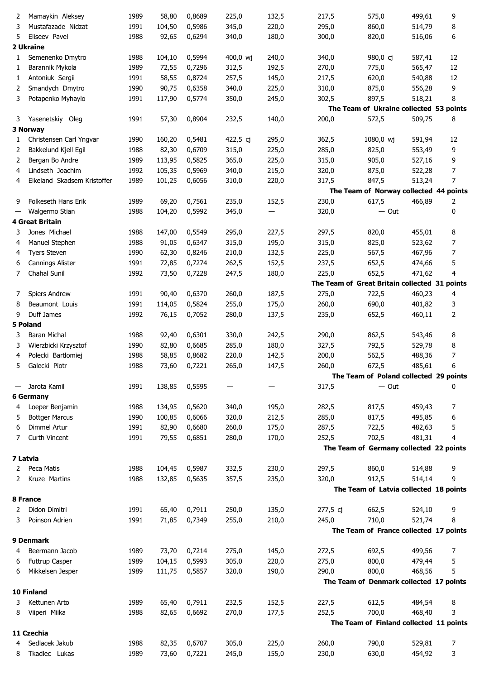| 2 | Mamaykin Aleksey            | 1989 | 58,80  | 0,8689 | 225,0    | 132,5 | 217,5    | 575,0                                         | 499,61 | 9  |
|---|-----------------------------|------|--------|--------|----------|-------|----------|-----------------------------------------------|--------|----|
| 3 | Mustafazade Nidzat          | 1991 | 104,50 | 0,5986 | 345,0    | 220,0 | 295,0    | 860,0                                         | 514,79 | 8  |
| 5 | Eliseev Pavel               | 1988 | 92,65  | 0,6294 | 340,0    | 180,0 | 300,0    | 820,0                                         | 516,06 | 6  |
|   | 2 Ukraine                   |      |        |        |          |       |          |                                               |        |    |
| 1 | Semenenko Dmytro            | 1988 | 104,10 | 0,5994 | 400,0 wj | 240,0 | 340,0    | 980,0 cj                                      | 587,41 | 12 |
|   |                             |      |        |        |          |       |          |                                               |        |    |
| 1 | Barannik Mykola             | 1989 | 72,55  | 0,7296 | 312,5    | 192,5 | 270,0    | 775,0                                         | 565,47 | 12 |
| 1 | Antoniuk Sergii             | 1991 | 58,55  | 0,8724 | 257,5    | 145,0 | 217,5    | 620,0                                         | 540,88 | 12 |
| 2 | Smandych Dmytro             | 1990 | 90,75  | 0,6358 | 340,0    | 225,0 | 310,0    | 875,0                                         | 556,28 | 9  |
| 3 | Potapenko Myhaylo           | 1991 | 117,90 | 0,5774 | 350,0    | 245,0 | 302,5    | 897,5                                         | 518,21 | 8  |
|   |                             |      |        |        |          |       |          | The Team of Ukraine collected 53 points       |        |    |
| 3 | Yasenetskiy Oleg            | 1991 | 57,30  | 0,8904 | 232,5    | 140,0 | 200,0    | 572,5                                         | 509,75 | 8  |
|   | 3 Norway                    |      |        |        |          |       |          |                                               |        |    |
| 1 | Christensen Carl Yngvar     | 1990 | 160,20 | 0,5481 | 422,5 cj | 295,0 | 362,5    | 1080,0 wj                                     | 591,94 | 12 |
| 2 | Bakkelund Kjell Egil        | 1988 | 82,30  | 0,6709 | 315,0    | 225,0 | 285,0    | 825,0                                         | 553,49 | 9  |
|   |                             |      |        |        |          |       |          |                                               |        |    |
| 2 | Bergan Bo Andre             | 1989 | 113,95 | 0,5825 | 365,0    | 225,0 | 315,0    | 905,0                                         | 527,16 | 9  |
| 4 | Lindseth Joachim            | 1992 | 105,35 | 0,5969 | 340,0    | 215,0 | 320,0    | 875,0                                         | 522,28 | 7  |
| 4 | Eikeland Skadsem Kristoffer | 1989 | 101,25 | 0,6056 | 310,0    | 220,0 | 317,5    | 847,5                                         | 513,24 | 7  |
|   |                             |      |        |        |          |       |          | The Team of Norway collected 44 points        |        |    |
| 9 | Folkeseth Hans Erik         | 1989 | 69,20  | 0,7561 | 235,0    | 152,5 | 230,0    | 617,5                                         | 466,89 | 2  |
|   | Walgermo Stian              | 1988 | 104,20 | 0,5992 | 345,0    | —     | 320,0    | $-$ Out                                       |        | 0  |
|   | <b>4 Great Britain</b>      |      |        |        |          |       |          |                                               |        |    |
| 3 | Jones Michael               | 1988 | 147,00 | 0,5549 | 295,0    | 227,5 | 297,5    | 820,0                                         | 455,01 | 8  |
|   |                             |      |        |        |          |       |          |                                               |        |    |
| 4 | Manuel Stephen              | 1988 | 91,05  | 0,6347 | 315,0    | 195,0 | 315,0    | 825,0                                         | 523,62 | 7  |
| 4 | <b>Tyers Steven</b>         | 1990 | 62,30  | 0,8246 | 210,0    | 132,5 | 225,0    | 567,5                                         | 467,96 | 7  |
| 6 | Cannings Alister            | 1991 | 72,85  | 0,7274 | 262,5    | 152,5 | 237,5    | 652,5                                         | 474,66 | 5  |
| 7 | Chahal Sunil                | 1992 | 73,50  | 0,7228 | 247,5    | 180,0 | 225,0    | 652,5                                         | 471,62 | 4  |
|   |                             |      |        |        |          |       |          | The Team of Great Britain collected 31 points |        |    |
| 7 | Spiers Andrew               | 1991 | 90,40  | 0,6370 | 260,0    | 187,5 | 275,0    | 722,5                                         | 460,23 | 4  |
| 8 | Beaumont Louis              | 1991 | 114,05 | 0,5824 | 255,0    | 175,0 | 260,0    | 690,0                                         | 401,82 | 3  |
| 9 | Duff James                  | 1992 | 76,15  | 0,7052 | 280,0    | 137,5 | 235,0    | 652,5                                         | 460,11 | 2  |
|   |                             |      |        |        |          |       |          |                                               |        |    |
|   | 5 Poland                    |      |        |        |          |       |          |                                               |        |    |
| 3 | Baran Michal                | 1988 | 92,40  | 0,6301 | 330,0    | 242,5 | 290,0    | 862,5                                         | 543,46 | 8  |
| 3 | Wierzbicki Krzysztof        | 1990 | 82,80  | 0,6685 | 285,0    | 180,0 | 327,5    | 792,5                                         | 529,78 | 8  |
| 4 | Polecki Bartlomiej          | 1988 | 58,85  | 0,8682 | 220,0    | 142,5 | 200,0    | 562,5                                         | 488,36 | 7  |
| 5 | Galecki Piotr               | 1988 | 73,60  | 0,7221 | 265,0    | 147,5 | 260,0    | 672,5                                         | 485,61 | 6  |
|   |                             |      |        |        |          |       |          | The Team of Poland collected 29 points        |        |    |
|   | Jarota Kamil                | 1991 | 138,85 | 0,5595 |          |       | 317,5    | $-$ Out                                       |        | 0  |
|   | <b>6 Germany</b>            |      |        |        |          |       |          |                                               |        |    |
|   |                             |      | 134,95 |        | 340,0    | 195,0 | 282,5    |                                               |        |    |
| 4 | Loeper Benjamin             | 1988 |        | 0,5620 |          |       |          | 817,5                                         | 459,43 | 7  |
| 5 | <b>Bottger Marcus</b>       | 1990 | 100,85 | 0,6066 | 320,0    | 212,5 | 285,0    | 817,5                                         | 495,85 | 6  |
| 6 | Dimmel Artur                | 1991 | 82,90  | 0,6680 | 260,0    | 175,0 | 287,5    | 722,5                                         | 482,63 | 5  |
| 7 | Curth Vincent               | 1991 | 79,55  | 0,6851 | 280,0    | 170,0 | 252,5    | 702,5                                         | 481,31 | 4  |
|   |                             |      |        |        |          |       |          | The Team of Germany collected 22 points       |        |    |
|   | 7 Latvia                    |      |        |        |          |       |          |                                               |        |    |
| 2 | Peca Matis                  | 1988 | 104,45 | 0,5987 | 332,5    | 230,0 | 297,5    | 860,0                                         | 514,88 | 9  |
| 2 | Kruze Martins               | 1988 | 132,85 | 0,5635 | 357,5    | 235,0 | 320,0    | 912,5                                         | 514,14 | 9  |
|   |                             |      |        |        |          |       |          | The Team of Latvia collected 18 points        |        |    |
|   |                             |      |        |        |          |       |          |                                               |        |    |
|   | 8 France                    |      |        |        |          |       |          |                                               |        |    |
| 2 | Didon Dimitri               | 1991 | 65,40  | 0,7911 | 250,0    | 135,0 | 277,5 cj | 662,5                                         | 524,10 | 9  |
| 3 | Poinson Adrien              | 1991 | 71,85  | 0,7349 | 255,0    | 210,0 | 245,0    | 710,0                                         | 521,74 | 8  |
|   |                             |      |        |        |          |       |          | The Team of France collected 17 points        |        |    |
|   | 9 Denmark                   |      |        |        |          |       |          |                                               |        |    |
| 4 | Beermann Jacob              | 1989 | 73,70  | 0,7214 | 275,0    | 145,0 | 272,5    | 692,5                                         | 499,56 | 7  |
| 6 | Futtrup Casper              | 1989 | 104,15 | 0,5993 | 305,0    | 220,0 | 275,0    | 800,0                                         | 479,44 | 5  |
| 6 | Mikkelsen Jesper            | 1989 | 111,75 | 0,5857 | 320,0    | 190,0 | 290,0    | 800,0                                         | 468,56 | 5  |
|   |                             |      |        |        |          |       |          |                                               |        |    |
|   |                             |      |        |        |          |       |          | The Team of Denmark collected 17 points       |        |    |
|   | 10 Finland                  |      |        |        |          |       |          |                                               |        |    |
| 3 | Kettunen Arto               | 1989 | 65,40  | 0,7911 | 232,5    | 152,5 | 227,5    | 612,5                                         | 484,54 | 8  |
| 8 | Viiperi Miika               | 1988 | 82,65  | 0,6692 | 270,0    | 177,5 | 252,5    | 700,0                                         | 468,40 | 3  |
|   |                             |      |        |        |          |       |          | The Team of Finland collected 11 points       |        |    |
|   | 11 Czechia                  |      |        |        |          |       |          |                                               |        |    |
| 4 | Sedlacek Jakub              | 1988 | 82,35  | 0,6707 | 305,0    | 225,0 | 260,0    | 790,0                                         | 529,81 | 7  |
| 8 | Tkadlec Lukas               | 1989 | 73,60  | 0,7221 | 245,0    | 155,0 | 230,0    | 630,0                                         | 454,92 | 3  |
|   |                             |      |        |        |          |       |          |                                               |        |    |